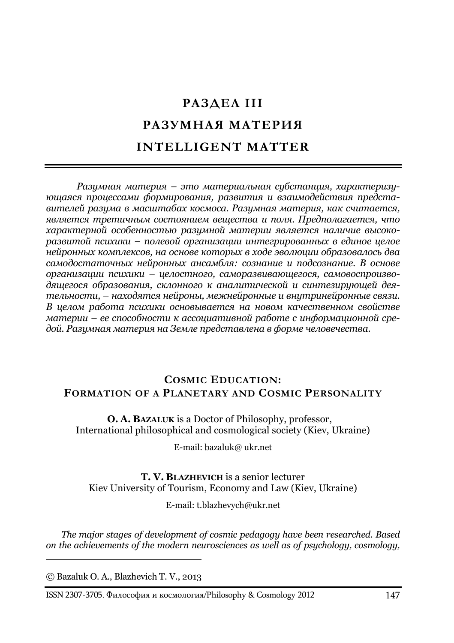# **РАЗЛЕЛ III**

## **РАЗУМНАЯ МАТЕРИЯ**

## **INTELLIGENT MATTER**

*Разумная материя – это материальная субстанция, характеризующаяся процессами формирования, развития и взаимодействия представителей разума в масштабах космоса. Разумная материя, как считается, является третичным состоянием вещества и поля. Предполагается, что характерной особенностью разумной материи является наличие высокоразвитой психики – полевой организации интегрированных в единое целое нейронных комплексов, на основе которых в ходе эволюции образовалось два самодостаточных нейронных ансамбля: сознание и подсознание. В основе организации психики – целостного, саморазвивающегося, самовоспроизводящегося образования, склонного к аналитической и синтезирующей деятельности, – находятся нейроны, межнейронные и внутринейронные связи. В целом работа психики основывается на новом качественном свойстве материи – ее способности к ассоциативной работе с информационной средой. Разумная материя на Земле представлена в форме человечества.* 

## **COSMIC EDUCATION: FORMATION OF A PLANETARY AND COSMIC PERSONALITY**

**O. A. BAZALUK** is a Doctor of Philosophy, professor, International philosophical and cosmological society (Kiev, Ukraine)

E-mail: bazaluk@ ukr.net

**T. V. BLAZHEVICH** is a senior lecturer Kiev University of Tourism, Economy and Law (Kiev, Ukraine)

E-mail: t.blazhevych@ukr.net

*The major stages of development of cosmic pedagogy have been researched. Based on the achievements of the modern neurosciences as well as of psychology, cosmology,* 

© Bazaluk O. A., Blazhevich T. V., 2013

j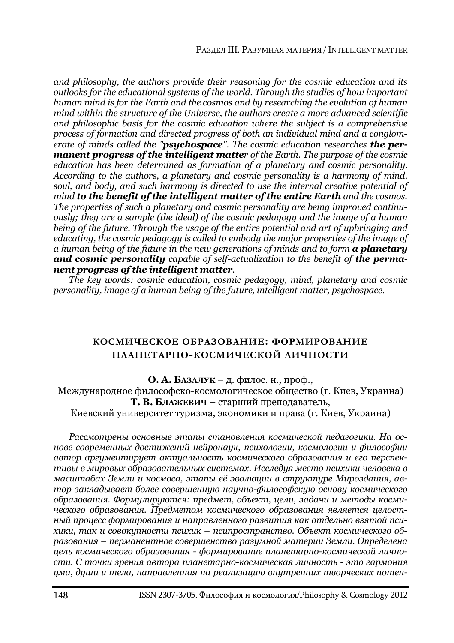*and philosophy, the authors provide their reasoning for the cosmic education and its outlooks for the educational systems of the world. Through the studies of how important human mind is for the Earth and the cosmos and by researching the evolution of human mind within the structure of the Universe, the authors create a more advanced scientific and philosophic basis for the cosmic education where the subject is a comprehensive process of formation and directed progress of both an individual mind and a conglomerate of minds called the "psychospace". The cosmic education researches the permanent progress of the intelligent matter of the Earth. The purpose of the cosmic education has been determined as formation of a planetary and cosmic personality. According to the authors, a planetary and cosmic personality is a harmony of mind, soul, and body, and such harmony is directed to use the internal creative potential of mind to the benefit of the intelligent matter of the entire Earth and the cosmos. The properties of such a planetary and cosmic personality are being improved continuously; they are a sample (the ideal) of the cosmic pedagogy and the image of a human being of the future. Through the usage of the entire potential and art of upbringing and educating, the cosmic pedagogy is called to embody the major properties of the image of a human being of the future in the new generations of minds and to form a planetary and cosmic personality capable of self-actualization to the benefit of the permanent progress of the intelligent matter.* 

*The key words: cosmic education, cosmic pedagogy, mind, planetary and cosmic personality, image of a human being of the future, intelligent matter, psychospace.* 

### **КОСМИЧЕСКОЕ ОБРАЗОВАНИЕ: ФОРМИРОВАНИЕ ПЛАНЕТАРНО-КОСМИЧЕСКОЙ ЛИЧНОСТИ**

**О. А. БАЗАЛУК** – д. филос. н., проф.,

Международное философско-космологическое общество (г. Киев, Украина) **Т. В. БЛАЖЕВИЧ** – старший преподаватель,

Киевский университет туризма, экономики и права (г. Киев, Украина)

*Рассмотрены основные этапы становления космической педагогики. На основе современных достижений нейронаук, психологии, космологии и философии автор аргументирует актуальность космического образования и его перспективы в мировых образовательных системах. Исследуя место психики человека в масштабах Земли и космоса, этапы её эволюции в структуре Мироздания, автор закладывает более совершенную научно-философскую основу космического образования. Формулируются: предмет, объект, цели, задачи и методы космического образования. Предметом космического образования является целостный процесс формирования и направленного развития как отдельно взятой психики, так и совокупности психик – псипространство. Объект космического образования – перманентное совершенство разумной материи Земли. Определена цель космического образования - формирование планетарно-космической личности. С точки зрения автора планетарно-космическая личность - это гармония ума, души и тела, направленная на реализацию внутренних творческих потен-*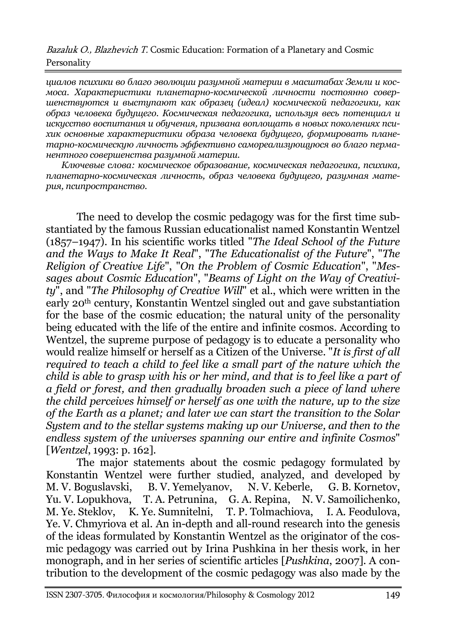*циалов психики во благо эволюции разумной материи в масштабах Земли и космоса. Характеристики планетарно-космической личности постоянно совершенствуются и выступают как образец (идеал) космической педагогики, как образ человека будущего. Космическая педагогика, используя весь потенциал и искусство воспитания и обучения, призвана воплощать в новых поколениях психик основные характеристики образа человека будущего, формировать планетарно-космическую личность эффективно самореализующуюся во благо перманентного совершенства разумной материи.* 

*Ключевые слова: космическое образование, космическая педагогика, психика, планетарно-космическая личность, образ человека будущего, разумная материя, псипространство.* 

The need to develop the cosmic pedagogy was for the first time substantiated by the famous Russian educationalist named Konstantin Wentzel (1857–1947). In his scientific works titled "*The Ideal School of the Future and the Ways to Make It Real*", "*The Educationalist of the Future*", "*The Religion of Creative Life*", "*On the Problem of Cosmic Education*", "*Messages about Cosmic Education*", "*Beams of Light on the Way of Creativity*", and "*The Philosophy of Creative Will*" et al., which were written in the early 20th century, Konstantin Wentzel singled out and gave substantiation for the base of the cosmic education; the natural unity of the personality being educated with the life of the entire and infinite cosmos. According to Wentzel, the supreme purpose of pedagogy is to educate a personality who would realize himself or herself as a Citizen of the Universe. "*It is first of all required to teach a child to feel like a small part of the nature which the child is able to grasp with his or her mind, and that is to feel like a part of a field or forest, and then gradually broaden such a piece of land where the child perceives himself or herself as one with the nature, up to the size of the Earth as a planet; and later we can start the transition to the Solar System and to the stellar systems making up our Universe, and then to the endless system of the universes spanning our entire and infinite Cosmos*" [*Wentzel*, 1993: p. 162].

The major statements about the cosmic pedagogy formulated by Konstantin Wentzel were further studied, analyzed, and developed by M. V. Boguslavski, B. V. Yemelyanov, N. V. Keberle, G. B. Kornetov, Yu. V. Lopukhova, T. A. Petrunina, G. A. Repina, N. V. Samoilichenko, M. Ye. Steklov, K. Ye. Sumnitelni, T. P. Tolmachiova, I. A. Feodulova, Ye. V. Chmyriova et al. An in-depth and all-round research into the genesis of the ideas formulated by Konstantin Wentzel as the originator of the cosmic pedagogy was carried out by Irina Pushkina in her thesis work, in her monograph, and in her series of scientific articles [*Pushkina*, 2007]. A contribution to the development of the cosmic pedagogy was also made by the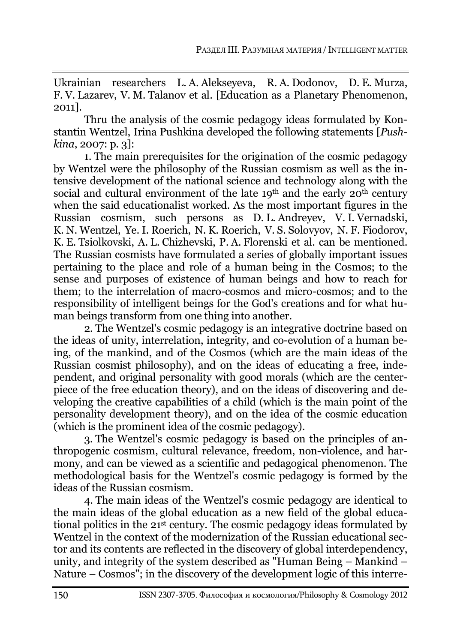Ukrainian researchers L. A. Alekseyeva, R. A. Dodonov, D. E. Murza, F. V. Lazarev, V. M. Talanov et al. [Education as a Planetary Phenomenon, 2011].

Thru the analysis of the cosmic pedagogy ideas formulated by Konstantin Wentzel, Irina Pushkina developed the following statements [*Pushkina*, 2007: p. 3]:

1. The main prerequisites for the origination of the cosmic pedagogy by Wentzel were the philosophy of the Russian cosmism as well as the intensive development of the national science and technology along with the social and cultural environment of the late 19<sup>th</sup> and the early 20<sup>th</sup> century when the said educationalist worked. As the most important figures in the Russian cosmism, such persons as D. L. Andreyev, V. I. Vernadski, K. N. Wentzel, Ye. I. Roerich, N. K. Roerich, V. S. Solovyov, N. F. Fiodorov, K. E. Tsiolkovski, A. L. Chizhevski, P. A. Florenski et al. can be mentioned. The Russian cosmists have formulated a series of globally important issues pertaining to the place and role of a human being in the Cosmos; to the sense and purposes of existence of human beings and how to reach for them; to the interrelation of macro-cosmos and micro-cosmos; and to the responsibility of intelligent beings for the God's creations and for what human beings transform from one thing into another.

2. The Wentzel's cosmic pedagogy is an integrative doctrine based on the ideas of unity, interrelation, integrity, and co-evolution of a human being, of the mankind, and of the Cosmos (which are the main ideas of the Russian cosmist philosophy), and on the ideas of educating a free, independent, and original personality with good morals (which are the centerpiece of the free education theory), and on the ideas of discovering and developing the creative capabilities of a child (which is the main point of the personality development theory), and on the idea of the cosmic education (which is the prominent idea of the cosmic pedagogy).

3. The Wentzel's cosmic pedagogy is based on the principles of anthropogenic cosmism, cultural relevance, freedom, non-violence, and harmony, and can be viewed as a scientific and pedagogical phenomenon. The methodological basis for the Wentzel's cosmic pedagogy is formed by the ideas of the Russian cosmism.

4. The main ideas of the Wentzel's cosmic pedagogy are identical to the main ideas of the global education as a new field of the global educational politics in the 21st century. The cosmic pedagogy ideas formulated by Wentzel in the context of the modernization of the Russian educational sector and its contents are reflected in the discovery of global interdependency, unity, and integrity of the system described as "Human Being – Mankind – Nature – Cosmos"; in the discovery of the development logic of this interre-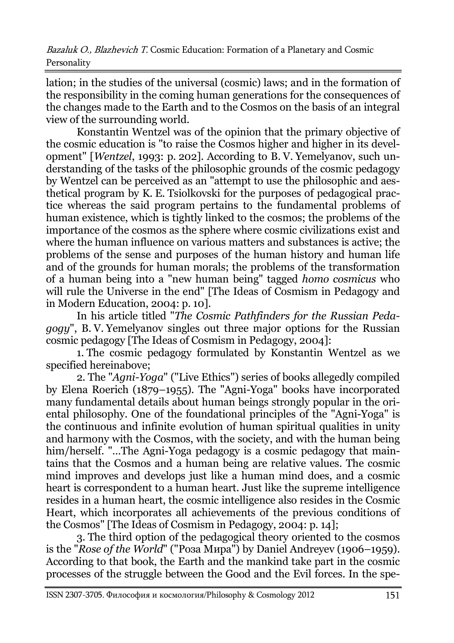lation; in the studies of the universal (cosmic) laws; and in the formation of the responsibility in the coming human generations for the consequences of the changes made to the Earth and to the Cosmos on the basis of an integral view of the surrounding world.

Konstantin Wentzel was of the opinion that the primary objective of the cosmic education is "to raise the Cosmos higher and higher in its development" [*Wentzel*, 1993: p. 202]. According to B. V. Yemelyanov, such understanding of the tasks of the philosophic grounds of the cosmic pedagogy by Wentzel can be perceived as an "attempt to use the philosophic and aesthetical program by K. E. Tsiolkovski for the purposes of pedagogical practice whereas the said program pertains to the fundamental problems of human existence, which is tightly linked to the cosmos; the problems of the importance of the cosmos as the sphere where cosmic civilizations exist and where the human influence on various matters and substances is active; the problems of the sense and purposes of the human history and human life and of the grounds for human morals; the problems of the transformation of a human being into a "new human being" tagged *homo cosmicus* who will rule the Universe in the end" [The Ideas of Cosmism in Pedagogy and in Modern Education, 2004: p. 10].

In his article titled "*The Cosmic Pathfinders for the Russian Pedagogy*", B. V. Yemelyanov singles out three major options for the Russian cosmic pedagogy [The Ideas of Cosmism in Pedagogy, 2004]:

1. The cosmic pedagogy formulated by Konstantin Wentzel as we specified hereinabove;

2. The "*Agni-Yoga*" ("Live Ethics") series of books allegedly compiled by Elena Roerich (1879–1955). The "Agni-Yoga" books have incorporated many fundamental details about human beings strongly popular in the oriental philosophy. One of the foundational principles of the "Agni-Yoga" is the continuous and infinite evolution of human spiritual qualities in unity and harmony with the Cosmos, with the society, and with the human being him/herself. "...The Agni-Yoga pedagogy is a cosmic pedagogy that maintains that the Cosmos and a human being are relative values. The cosmic mind improves and develops just like a human mind does, and a cosmic heart is correspondent to a human heart. Just like the supreme intelligence resides in a human heart, the cosmic intelligence also resides in the Cosmic Heart, which incorporates all achievements of the previous conditions of the Cosmos" [The Ideas of Cosmism in Pedagogy, 2004: p. 14];

3. The third option of the pedagogical theory oriented to the cosmos is the "*Rose of the World*" ("Роза Мира") by Daniel Andreyev (1906–1959). According to that book, the Earth and the mankind take part in the cosmic processes of the struggle between the Good and the Evil forces. In the spe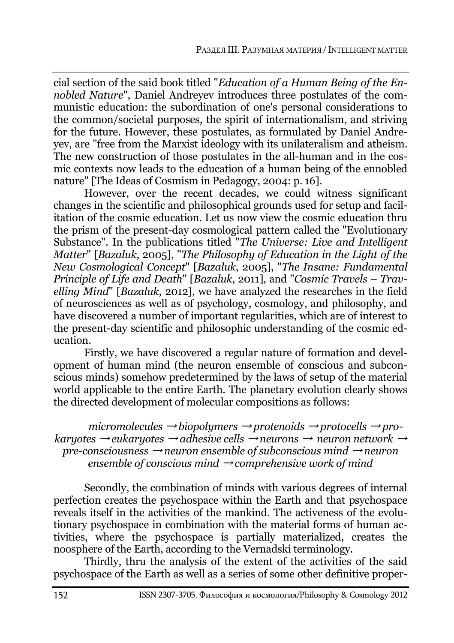cial section of the said book titled "*Education of a Human Being of the Ennobled Nature*", Daniel Andreyev introduces three postulates of the communistic education: the subordination of one's personal considerations to the common/societal purposes, the spirit of internationalism, and striving for the future. However, these postulates, as formulated by Daniel Andreyev, are "free from the Marxist ideology with its unilateralism and atheism. The new construction of those postulates in the all-human and in the cosmic contexts now leads to the education of a human being of the ennobled nature" [The Ideas of Cosmism in Pedagogy, 2004: p. 16].

However, over the recent decades, we could witness significant changes in the scientific and philosophical grounds used for setup and facilitation of the cosmic education. Let us now view the cosmic education thru the prism of the present-day cosmological pattern called the "Evolutionary Substance". In the publications titled "*The Universe: Live and Intelligent Matter*" [*Bazaluk*, 2005], "*The Philosophy of Education in the Light of the New Cosmological Concept*" [*Bazaluk*, 2005], "*The Insane: Fundamental Principle of Life and Death*" [*Bazaluk*, 2011], and "*Cosmic Travels – Travelling Mind*" [*Bazaluk*, 2012], we have analyzed the researches in the field of neurosciences as well as of psychology, cosmology, and philosophy, and have discovered a number of important regularities, which are of interest to the present-day scientific and philosophic understanding of the cosmic education.

Firstly, we have discovered a regular nature of formation and development of human mind (the neuron ensemble of conscious and subconscious minds) somehow predetermined by the laws of setup of the material world applicable to the entire Earth. The planetary evolution clearly shows the directed development of molecular compositions as follows:

 $micromolecules \rightarrow biopolymers \rightarrow protenoids \rightarrow protocells \rightarrow pro$  $k$ aryotes  $\rightarrow$  eukaryotes  $\rightarrow$  adhesive cells  $\rightarrow$  neurons  $\rightarrow$  neuron network  $\rightarrow$ *pre-consciousness → neuron ensemble of subconscious mind → neuron ensemble of conscious mind* → *comprehensive work of mind* 

Secondly, the combination of minds with various degrees of internal perfection creates the psychospace within the Earth and that psychospace reveals itself in the activities of the mankind. The activeness of the evolutionary psychospace in combination with the material forms of human activities, where the psychospace is partially materialized, creates the noosphere of the Earth, according to the Vernadski terminology.

Thirdly, thru the analysis of the extent of the activities of the said psychospace of the Earth as well as a series of some other definitive proper-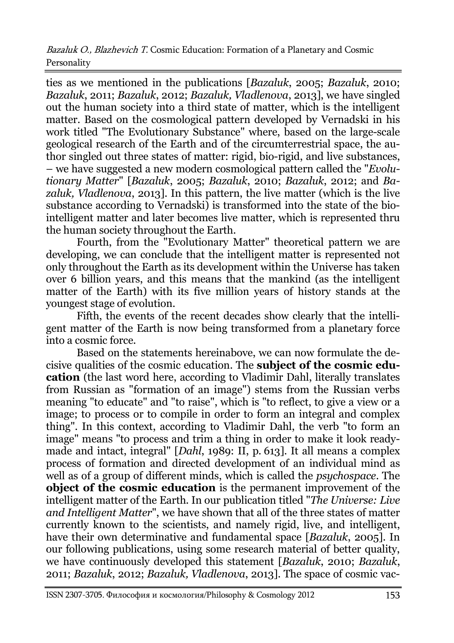ties as we mentioned in the publications [*Bazaluk*, 2005; *Bazaluk*, 2010; *Bazaluk*, 2011; *Bazaluk*, 2012; *Bazaluk, Vladlenova*, 2013], we have singled out the human society into a third state of matter, which is the intelligent matter. Based on the cosmological pattern developed by Vernadski in his work titled "The Evolutionary Substance" where, based on the large-scale geological research of the Earth and of the circumterrestrial space, the author singled out three states of matter: rigid, bio-rigid, and live substances, – we have suggested a new modern cosmological pattern called the "*Evolutionary Matter*" [*Bazaluk*, 2005; *Bazaluk*, 2010; *Bazaluk*, 2012; and *Bazaluk, Vladlenova*, 2013]. In this pattern, the live matter (which is the live substance according to Vernadski) is transformed into the state of the biointelligent matter and later becomes live matter, which is represented thru the human society throughout the Earth.

Fourth, from the "Evolutionary Matter" theoretical pattern we are developing, we can conclude that the intelligent matter is represented not only throughout the Earth as its development within the Universe has taken over 6 billion years, and this means that the mankind (as the intelligent matter of the Earth) with its five million years of history stands at the youngest stage of evolution.

Fifth, the events of the recent decades show clearly that the intelligent matter of the Earth is now being transformed from a planetary force into a cosmic force.

Based on the statements hereinabove, we can now formulate the decisive qualities of the cosmic education. The **subject of the cosmic education** (the last word here, according to Vladimir Dahl, literally translates from Russian as "formation of an image") stems from the Russian verbs meaning "to educate" and "to raise", which is "to reflect, to give a view or a image; to process or to compile in order to form an integral and complex thing". In this context, according to Vladimir Dahl, the verb "to form an image" means "to process and trim a thing in order to make it look readymade and intact, integral" [*Dahl*, 1989: II, p. 613]. It all means a complex process of formation and directed development of an individual mind as well as of a group of different minds, which is called the *psychospace*. The **object of the cosmic education** is the permanent improvement of the intelligent matter of the Earth. In our publication titled "*The Universe: Live and Intelligent Matter*", we have shown that all of the three states of matter currently known to the scientists, and namely rigid, live, and intelligent, have their own determinative and fundamental space [*Bazaluk*, 2005]. In our following publications, using some research material of better quality, we have continuously developed this statement [*Bazaluk*, 2010; *Bazaluk*, 2011; *Bazaluk*, 2012; *Bazaluk, Vladlenova*, 2013]. The space of cosmic vac-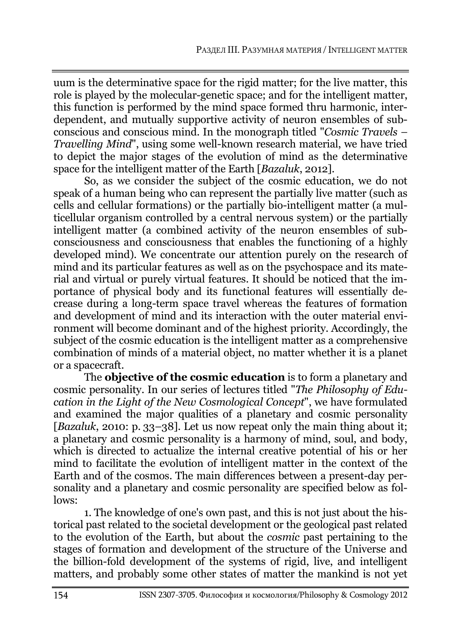uum is the determinative space for the rigid matter; for the live matter, this role is played by the molecular-genetic space; and for the intelligent matter, this function is performed by the mind space formed thru harmonic, interdependent, and mutually supportive activity of neuron ensembles of subconscious and conscious mind. In the monograph titled "*Cosmic Travels – Travelling Mind*", using some well-known research material, we have tried to depict the major stages of the evolution of mind as the determinative space for the intelligent matter of the Earth [*Bazaluk*, 2012].

So, as we consider the subject of the cosmic education, we do not speak of a human being who can represent the partially live matter (such as cells and cellular formations) or the partially bio-intelligent matter (a multicellular organism controlled by a central nervous system) or the partially intelligent matter (a combined activity of the neuron ensembles of subconsciousness and consciousness that enables the functioning of a highly developed mind). We concentrate our attention purely on the research of mind and its particular features as well as on the psychospace and its material and virtual or purely virtual features. It should be noticed that the importance of physical body and its functional features will essentially decrease during a long-term space travel whereas the features of formation and development of mind and its interaction with the outer material environment will become dominant and of the highest priority. Accordingly, the subject of the cosmic education is the intelligent matter as a comprehensive combination of minds of a material object, no matter whether it is a planet or a spacecraft.

The **objective of the cosmic education** is to form a planetary and cosmic personality. In our series of lectures titled "*The Philosophy of Education in the Light of the New Cosmological Concept*", we have formulated and examined the major qualities of a planetary and cosmic personality [*Bazaluk*, 2010: p. 33–38]. Let us now repeat only the main thing about it; a planetary and cosmic personality is a harmony of mind, soul, and body, which is directed to actualize the internal creative potential of his or her mind to facilitate the evolution of intelligent matter in the context of the Earth and of the cosmos. The main differences between a present-day personality and a planetary and cosmic personality are specified below as follows:

1. The knowledge of one's own past, and this is not just about the historical past related to the societal development or the geological past related to the evolution of the Earth, but about the *cosmic* past pertaining to the stages of formation and development of the structure of the Universe and the billion-fold development of the systems of rigid, live, and intelligent matters, and probably some other states of matter the mankind is not yet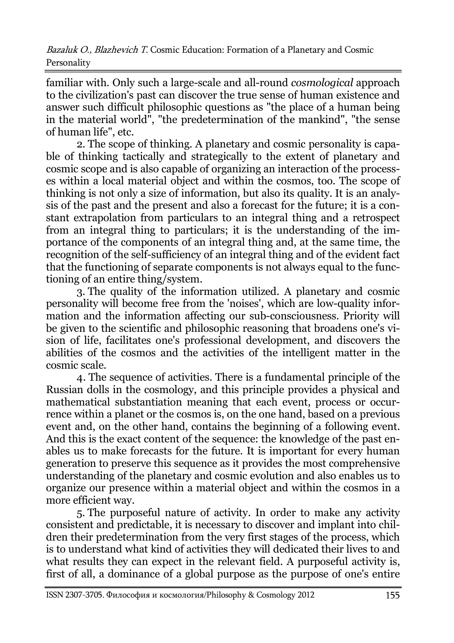familiar with. Only such a large-scale and all-round *cosmological* approach to the civilization's past can discover the true sense of human existence and answer such difficult philosophic questions as "the place of a human being in the material world", "the predetermination of the mankind", "the sense of human life", etc.

2. The scope of thinking. A planetary and cosmic personality is capable of thinking tactically and strategically to the extent of planetary and cosmic scope and is also capable of organizing an interaction of the processes within a local material object and within the cosmos, too. The scope of thinking is not only a size of information, but also its quality. It is an analysis of the past and the present and also a forecast for the future; it is a constant extrapolation from particulars to an integral thing and a retrospect from an integral thing to particulars; it is the understanding of the importance of the components of an integral thing and, at the same time, the recognition of the self-sufficiency of an integral thing and of the evident fact that the functioning of separate components is not always equal to the functioning of an entire thing/system.

3. The quality of the information utilized. A planetary and cosmic personality will become free from the 'noises', which are low-quality information and the information affecting our sub-consciousness. Priority will be given to the scientific and philosophic reasoning that broadens one's vision of life, facilitates one's professional development, and discovers the abilities of the cosmos and the activities of the intelligent matter in the cosmic scale.

4. The sequence of activities. There is a fundamental principle of the Russian dolls in the cosmology, and this principle provides a physical and mathematical substantiation meaning that each event, process or occurrence within a planet or the cosmos is, on the one hand, based on a previous event and, on the other hand, contains the beginning of a following event. And this is the exact content of the sequence: the knowledge of the past enables us to make forecasts for the future. It is important for every human generation to preserve this sequence as it provides the most comprehensive understanding of the planetary and cosmic evolution and also enables us to organize our presence within a material object and within the cosmos in a more efficient way.

5. The purposeful nature of activity. In order to make any activity consistent and predictable, it is necessary to discover and implant into children their predetermination from the very first stages of the process, which is to understand what kind of activities they will dedicated their lives to and what results they can expect in the relevant field. A purposeful activity is, first of all, a dominance of a global purpose as the purpose of one's entire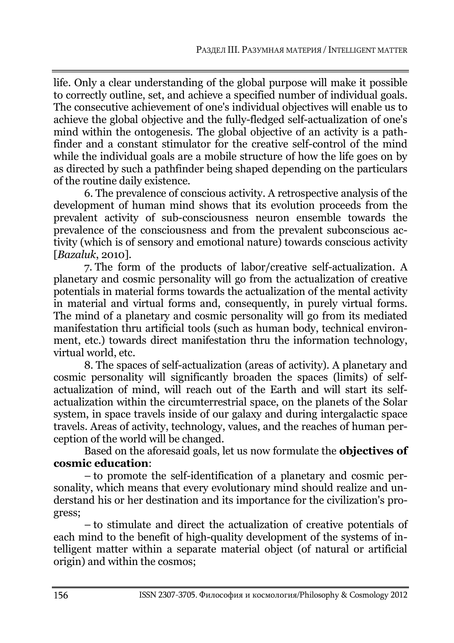life. Only a clear understanding of the global purpose will make it possible to correctly outline, set, and achieve a specified number of individual goals. The consecutive achievement of one's individual objectives will enable us to achieve the global objective and the fully-fledged self-actualization of one's mind within the ontogenesis. The global objective of an activity is a pathfinder and a constant stimulator for the creative self-control of the mind while the individual goals are a mobile structure of how the life goes on by as directed by such a pathfinder being shaped depending on the particulars of the routine daily existence.

6. The prevalence of conscious activity. A retrospective analysis of the development of human mind shows that its evolution proceeds from the prevalent activity of sub-consciousness neuron ensemble towards the prevalence of the consciousness and from the prevalent subconscious activity (which is of sensory and emotional nature) towards conscious activity [*Bazaluk*, 2010].

7. The form of the products of labor/creative self-actualization. A planetary and cosmic personality will go from the actualization of creative potentials in material forms towards the actualization of the mental activity in material and virtual forms and, consequently, in purely virtual forms. The mind of a planetary and cosmic personality will go from its mediated manifestation thru artificial tools (such as human body, technical environment, etc.) towards direct manifestation thru the information technology, virtual world, etc.

8. The spaces of self-actualization (areas of activity). A planetary and cosmic personality will significantly broaden the spaces (limits) of selfactualization of mind, will reach out of the Earth and will start its selfactualization within the circumterrestrial space, on the planets of the Solar system, in space travels inside of our galaxy and during intergalactic space travels. Areas of activity, technology, values, and the reaches of human perception of the world will be changed.

Based on the aforesaid goals, let us now formulate the **objectives of cosmic education**:

– to promote the self-identification of a planetary and cosmic personality, which means that every evolutionary mind should realize and understand his or her destination and its importance for the civilization's progress;

– to stimulate and direct the actualization of creative potentials of each mind to the benefit of high-quality development of the systems of intelligent matter within a separate material object (of natural or artificial origin) and within the cosmos;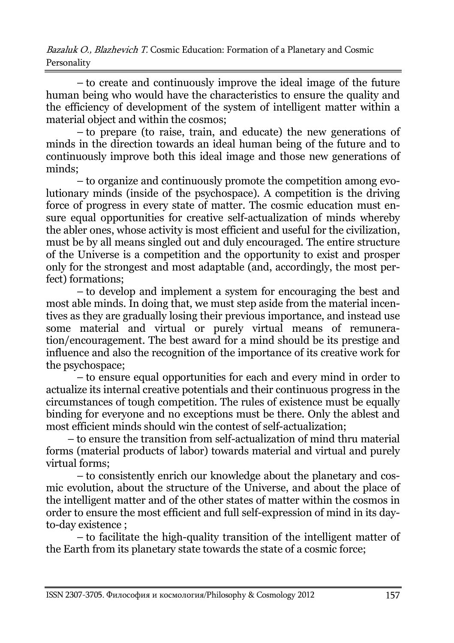– to create and continuously improve the ideal image of the future human being who would have the characteristics to ensure the quality and the efficiency of development of the system of intelligent matter within a material object and within the cosmos;

– to prepare (to raise, train, and educate) the new generations of minds in the direction towards an ideal human being of the future and to continuously improve both this ideal image and those new generations of minds;

– to organize and continuously promote the competition among evolutionary minds (inside of the psychospace). A competition is the driving force of progress in every state of matter. The cosmic education must ensure equal opportunities for creative self-actualization of minds whereby the abler ones, whose activity is most efficient and useful for the civilization, must be by all means singled out and duly encouraged. The entire structure of the Universe is a competition and the opportunity to exist and prosper only for the strongest and most adaptable (and, accordingly, the most perfect) formations;

– to develop and implement a system for encouraging the best and most able minds. In doing that, we must step aside from the material incentives as they are gradually losing their previous importance, and instead use some material and virtual or purely virtual means of remuneration/encouragement. The best award for a mind should be its prestige and influence and also the recognition of the importance of its creative work for the psychospace;

– to ensure equal opportunities for each and every mind in order to actualize its internal creative potentials and their continuous progress in the circumstances of tough competition. The rules of existence must be equally binding for everyone and no exceptions must be there. Only the ablest and most efficient minds should win the contest of self-actualization;

– to ensure the transition from self-actualization of mind thru material forms (material products of labor) towards material and virtual and purely virtual forms;

– to consistently enrich our knowledge about the planetary and cosmic evolution, about the structure of the Universe, and about the place of the intelligent matter and of the other states of matter within the cosmos in order to ensure the most efficient and full self-expression of mind in its dayto-day existence ;

– to facilitate the high-quality transition of the intelligent matter of the Earth from its planetary state towards the state of a cosmic force;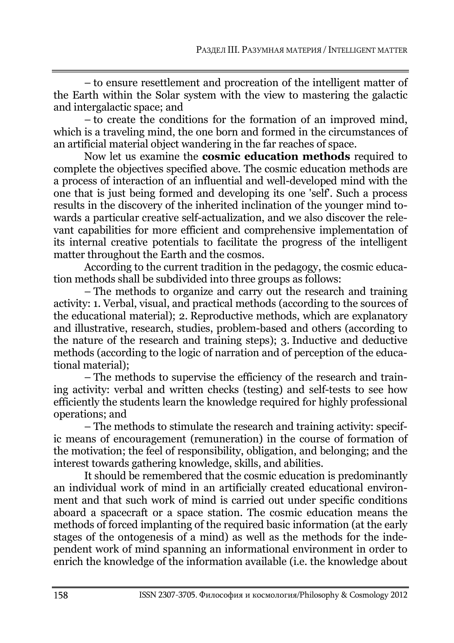– to ensure resettlement and procreation of the intelligent matter of the Earth within the Solar system with the view to mastering the galactic and intergalactic space; and

– to create the conditions for the formation of an improved mind, which is a traveling mind, the one born and formed in the circumstances of an artificial material object wandering in the far reaches of space.

Now let us examine the **cosmic education methods** required to complete the objectives specified above. The cosmic education methods are a process of interaction of an influential and well-developed mind with the one that is just being formed and developing its one 'self'. Such a process results in the discovery of the inherited inclination of the younger mind towards a particular creative self-actualization, and we also discover the relevant capabilities for more efficient and comprehensive implementation of its internal creative potentials to facilitate the progress of the intelligent matter throughout the Earth and the cosmos.

According to the current tradition in the pedagogy, the cosmic education methods shall be subdivided into three groups as follows:

– The methods to organize and carry out the research and training activity: 1. Verbal, visual, and practical methods (according to the sources of the educational material); 2. Reproductive methods, which are explanatory and illustrative, research, studies, problem-based and others (according to the nature of the research and training steps); 3. Inductive and deductive methods (according to the logic of narration and of perception of the educational material);

– The methods to supervise the efficiency of the research and training activity: verbal and written checks (testing) and self-tests to see how efficiently the students learn the knowledge required for highly professional operations; and

– The methods to stimulate the research and training activity: specific means of encouragement (remuneration) in the course of formation of the motivation; the feel of responsibility, obligation, and belonging; and the interest towards gathering knowledge, skills, and abilities.

It should be remembered that the cosmic education is predominantly an individual work of mind in an artificially created educational environment and that such work of mind is carried out under specific conditions aboard a spacecraft or a space station. The cosmic education means the methods of forced implanting of the required basic information (at the early stages of the ontogenesis of a mind) as well as the methods for the independent work of mind spanning an informational environment in order to enrich the knowledge of the information available (i.e. the knowledge about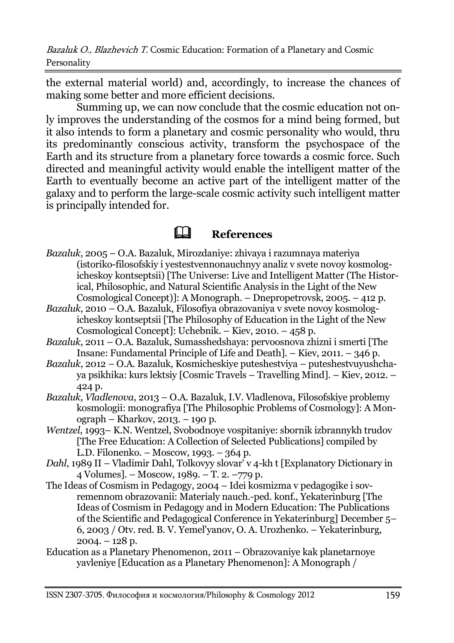the external material world) and, accordingly, to increase the chances of making some better and more efficient decisions.

Summing up, we can now conclude that the cosmic education not only improves the understanding of the cosmos for a mind being formed, but it also intends to form a planetary and cosmic personality who would, thru its predominantly conscious activity, transform the psychospace of the Earth and its structure from a planetary force towards a cosmic force. Such directed and meaningful activity would enable the intelligent matter of the Earth to eventually become an active part of the intelligent matter of the galaxy and to perform the large-scale cosmic activity such intelligent matter is principally intended for.

# **References**

- *Bazaluk*, 2005 O.A. Bazaluk, Mirozdaniye: zhivaya i razumnaya materiya (istoriko-filosofskiy i yestestvennonauchnyy analiz v svete novoy kosmologicheskoy kontseptsii) [The Universe: Live and Intelligent Matter (The Historical, Philosophic, and Natural Scientific Analysis in the Light of the New Cosmological Concept)]: A Monograph. – Dnepropetrovsk, 2005. – 412 p.
- *Bazaluk*, 2010 O.A. Bazaluk, Filosofiya obrazovaniya v svete novoy kosmologicheskoy kontseptsii [The Philosophy of Education in the Light of the New Cosmological Concept]: Uchebnik. – Kiev, 2010. – 458 p.
- *Bazaluk*, 2011 O.A. Bazaluk, Sumasshedshaya: pervoosnova zhizni i smerti [The Insane: Fundamental Principle of Life and Death]. – Kiev, 2011. – 346 p.
- *Bazaluk*, 2012 O.A. Bazaluk, Kosmicheskiye puteshestviya puteshestvuyushchaya psikhika: kurs lektsiy [Cosmic Travels – Travelling Mind]. – Kiev, 2012. – 424 p.
- *Bazaluk, Vladlenova*, 2013 O.A. Bazaluk, I.V. Vladlenova, Filosofskiye problemy kosmologii: monografiya [The Philosophic Problems of Cosmology]: A Monograph – Kharkov, 2013. – 190 p.
- *Wentzel*, 1993– K.N. Wentzel, Svobodnoye vospitaniye: sbornik izbrannykh trudov [The Free Education: A Collection of Selected Publications] compiled by L.D. Filonenko. – Moscow, 1993. – 364 p.
- *Dahl*, 1989 II Vladimir Dahl, Tolkovyy slovar' v 4-kh t [Explanatory Dictionary in 4 Volumes]. – Moscow, 1989. – T. 2. –779 p.
- The Ideas of Cosmism in Pedagogy, 2004 Idei kosmizma v pedagogike i sovremennom obrazovanii: Materialy nauch.-ped. konf., Yekaterinburg [The Ideas of Cosmism in Pedagogy and in Modern Education: The Publications of the Scientific and Pedagogical Conference in Yekaterinburg] December 5– 6, 2003 / Otv. red. B. V. Yemel'yanov, O. A. Urozhenko. – Yekaterinburg, 2004. – 128 p.
- Education as a Planetary Phenomenon, 2011 Obrazovaniye kak planetarnoye yavleniye [Education as a Planetary Phenomenon]: A Monograph /